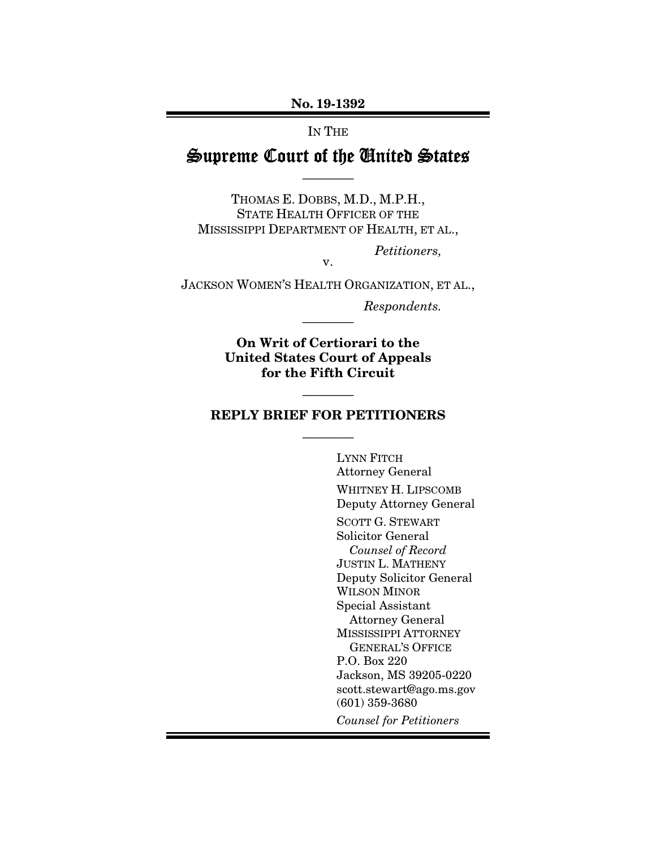#### No. 19-1392

#### IN THE

# Supreme Court of the United States

————

THOMAS E. DOBBS, M.D., M.P.H., STATE HEALTH OFFICER OF THE MISSISSIPPI DEPARTMENT OF HEALTH, ET AL.,

*Petitioners,* 

JACKSON WOMEN'S HEALTH ORGANIZATION, ET AL.,

v.

*Respondents.* 

On Writ of Certiorari to the United States Court of Appeals for the Fifth Circuit

————

### REPLY BRIEF FOR PETITIONERS

————

————

LYNN FITCH Attorney General WHITNEY H. LIPSCOMB Deputy Attorney General SCOTT G. STEWART Solicitor General *Counsel of Record*  JUSTIN L. MATHENY Deputy Solicitor General WILSON MINOR Special Assistant Attorney General MISSISSIPPI ATTORNEY GENERAL'S OFFICE P.O. Box 220 Jackson, MS 39205-0220 scott.stewart@ago.ms.gov (601) 359-3680 *Counsel for Petitioners*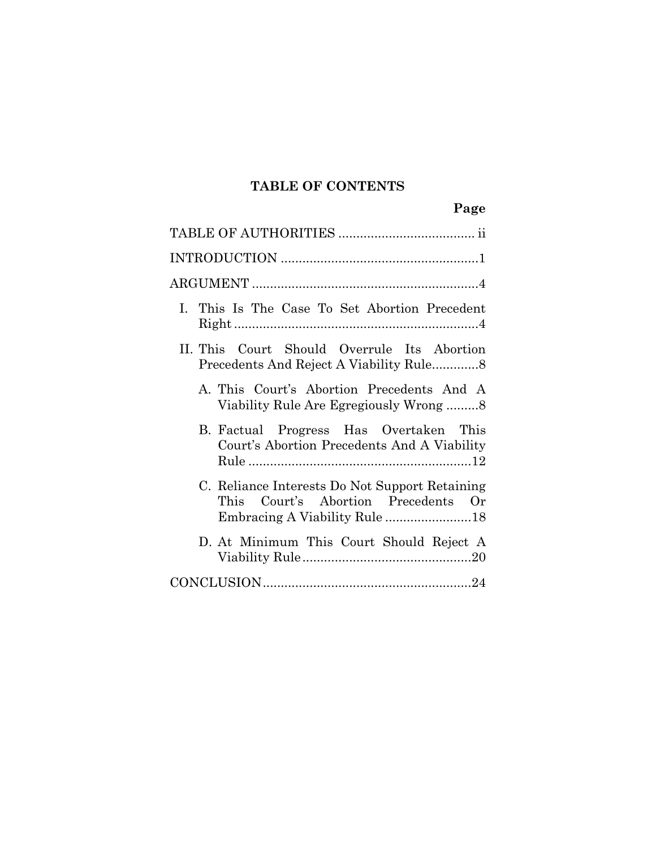# **TABLE OF CONTENTS**

| I. This Is The Case To Set Abortion Precedent                                         |
|---------------------------------------------------------------------------------------|
| II. This Court Should Overrule Its Abortion                                           |
| A. This Court's Abortion Precedents And A                                             |
| B. Factual Progress Has Overtaken This<br>Court's Abortion Precedents And A Viability |
| C. Reliance Interests Do Not Support Retaining<br>This Court's Abortion Precedents Or |
| D. At Minimum This Court Should Reject A                                              |
|                                                                                       |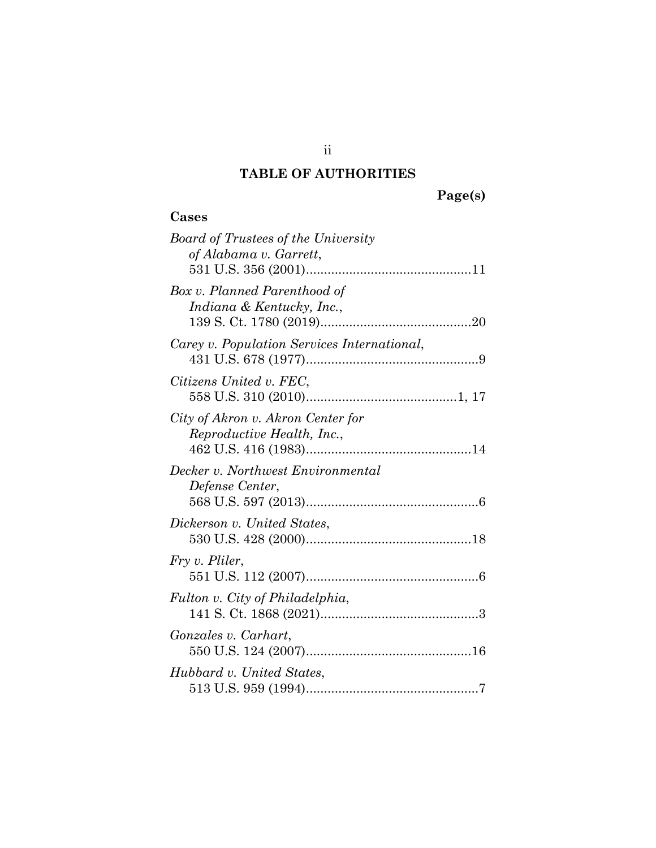## **TABLE OF AUTHORITIES**

## **Cases**

| <b>Board of Trustees of the University</b>  |
|---------------------------------------------|
| of Alabama v. Garrett,                      |
|                                             |
| Box v. Planned Parenthood of                |
| Indiana & Kentucky, Inc.,                   |
|                                             |
| Carey v. Population Services International, |
|                                             |
| Citizens United v. FEC,                     |
|                                             |
| City of Akron v. Akron Center for           |
| Reproductive Health, Inc.,                  |
|                                             |
| Decker v. Northwest Environmental           |
| Defense Center,                             |
|                                             |
| Dickerson v. United States,                 |
|                                             |
| Fry v. Pliler,                              |
|                                             |
| Fulton v. City of Philadelphia,             |
|                                             |
| Gonzales v. Carhart,                        |
|                                             |
| Hubbard v. United States,                   |
|                                             |
|                                             |

ii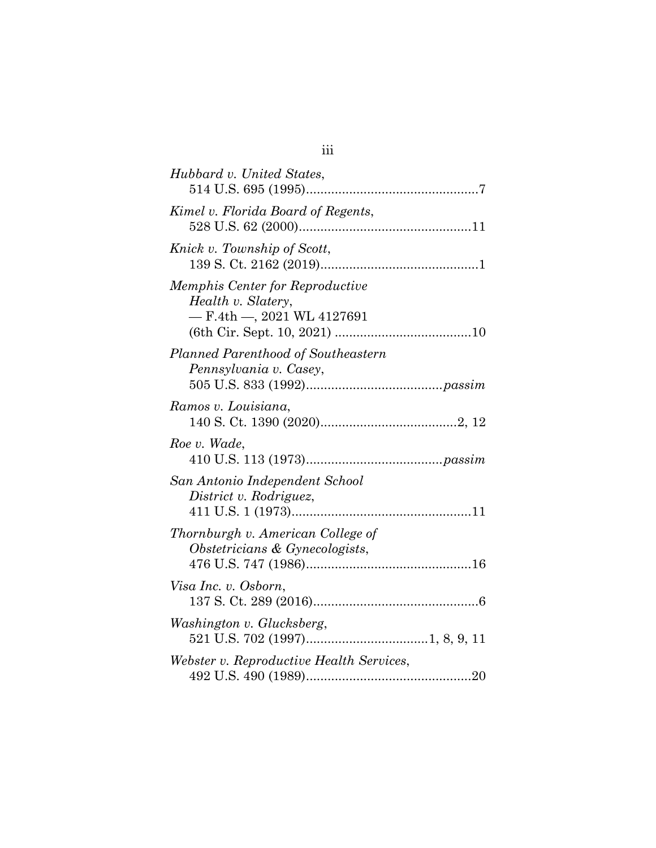| Hubbard v. United States,                                                                       |
|-------------------------------------------------------------------------------------------------|
| Kimel v. Florida Board of Regents,                                                              |
| Knick v. Township of Scott,                                                                     |
| <i>Memphis Center for Reproductive</i><br>Health v. Slatery,<br>$-$ F.4th $-$ , 2021 WL 4127691 |
| Planned Parenthood of Southeastern<br>Pennsylvania v. Casey,                                    |
| Ramos v. Louisiana,                                                                             |
| Roe v. Wade,                                                                                    |
| San Antonio Independent School<br>District v. Rodriguez,                                        |
| Thornburgh v. American College of<br>Obstetricians & Gynecologists,                             |
| Visa Inc. v. Osborn,                                                                            |
| Washington v. Glucksberg,                                                                       |
| Webster v. Reproductive Health Services,                                                        |

iii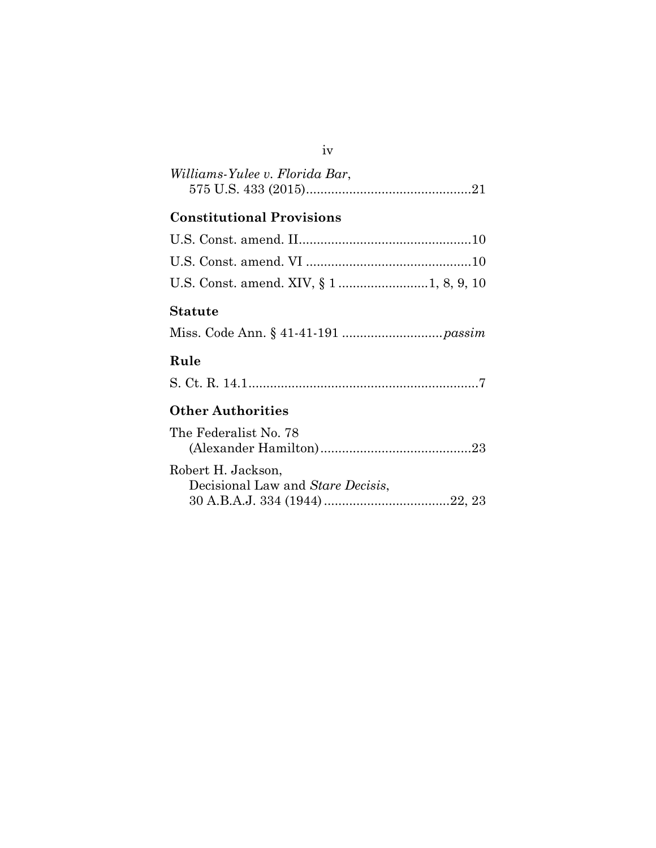| Williams-Yulee v. Florida Bar, |  |
|--------------------------------|--|
|                                |  |

## **Constitutional Provisions**

### **Statute**

Miss. Code Ann. § 41-41-191 ............................*passim*

## **Rule**

|--|--|--|--|

## **Other Authorities**

| The Federalist No. 78                                   |  |
|---------------------------------------------------------|--|
|                                                         |  |
| Robert H. Jackson,<br>Decisional Law and Stare Decisis, |  |
|                                                         |  |

#### iv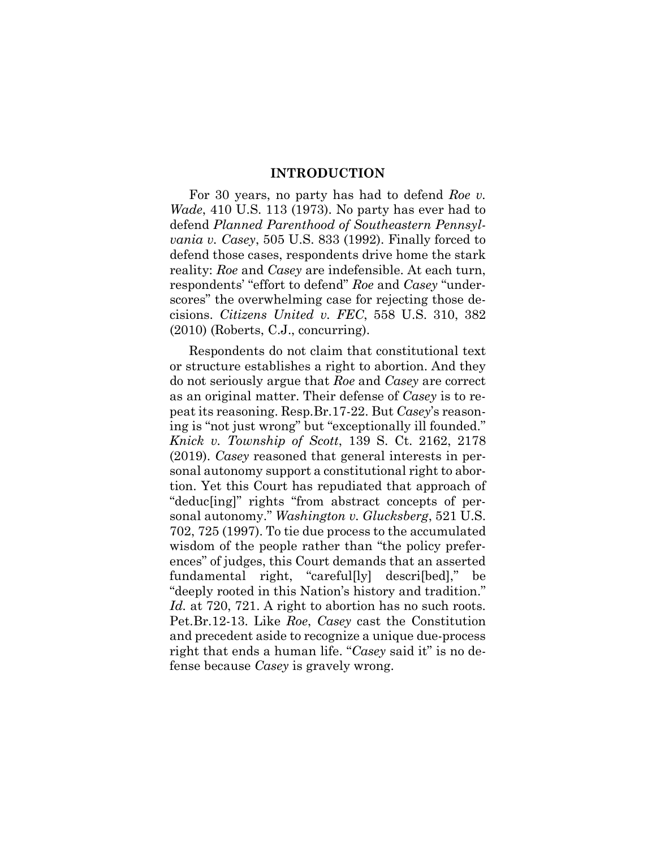#### **INTRODUCTION**

For 30 years, no party has had to defend *Roe v. Wade*, 410 U.S. 113 (1973). No party has ever had to defend *Planned Parenthood of Southeastern Pennsylvania v. Casey*, 505 U.S. 833 (1992). Finally forced to defend those cases, respondents drive home the stark reality: *Roe* and *Casey* are indefensible. At each turn, respondents' "effort to defend" *Roe* and *Casey* "underscores" the overwhelming case for rejecting those decisions. *Citizens United v. FEC*, 558 U.S. 310, 382 (2010) (Roberts, C.J., concurring).

Respondents do not claim that constitutional text or structure establishes a right to abortion. And they do not seriously argue that *Roe* and *Casey* are correct as an original matter. Their defense of *Casey* is to repeat its reasoning. Resp.Br.17-22. But *Casey*'s reasoning is "not just wrong" but "exceptionally ill founded." *Knick v. Township of Scott*, 139 S. Ct. 2162, 2178 (2019). *Casey* reasoned that general interests in personal autonomy support a constitutional right to abortion. Yet this Court has repudiated that approach of "deduc[ing]" rights "from abstract concepts of personal autonomy." *Washington v. Glucksberg*, 521 U.S. 702, 725 (1997). To tie due process to the accumulated wisdom of the people rather than "the policy preferences" of judges, this Court demands that an asserted fundamental right, "careful[ly] descri[bed]," be "deeply rooted in this Nation's history and tradition." *Id.* at 720, 721. A right to abortion has no such roots. Pet.Br.12-13. Like *Roe*, *Casey* cast the Constitution and precedent aside to recognize a unique due-process right that ends a human life. "*Casey* said it" is no defense because *Casey* is gravely wrong.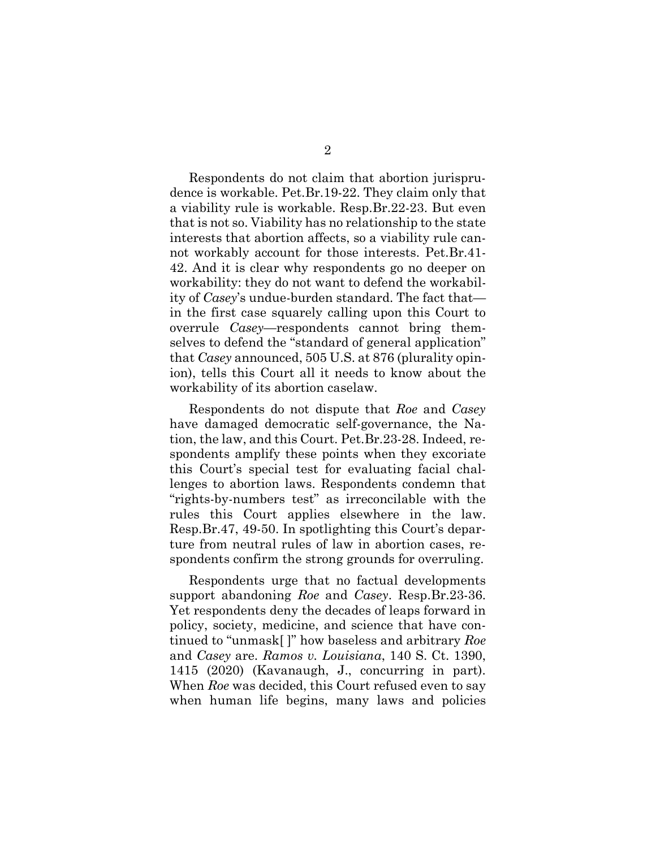Respondents do not claim that abortion jurisprudence is workable. Pet.Br.19-22. They claim only that a viability rule is workable. Resp.Br.22-23. But even that is not so. Viability has no relationship to the state interests that abortion affects, so a viability rule cannot workably account for those interests. Pet.Br.41- 42. And it is clear why respondents go no deeper on workability: they do not want to defend the workability of *Casey*'s undue-burden standard. The fact that in the first case squarely calling upon this Court to overrule *Casey*—respondents cannot bring themselves to defend the "standard of general application" that *Casey* announced, 505 U.S. at 876 (plurality opinion), tells this Court all it needs to know about the workability of its abortion caselaw.

Respondents do not dispute that *Roe* and *Casey* have damaged democratic self-governance, the Nation, the law, and this Court. Pet.Br.23-28. Indeed, respondents amplify these points when they excoriate this Court's special test for evaluating facial challenges to abortion laws. Respondents condemn that "rights-by-numbers test" as irreconcilable with the rules this Court applies elsewhere in the law. Resp.Br.47, 49-50. In spotlighting this Court's departure from neutral rules of law in abortion cases, respondents confirm the strong grounds for overruling.

Respondents urge that no factual developments support abandoning *Roe* and *Casey*. Resp.Br.23-36. Yet respondents deny the decades of leaps forward in policy, society, medicine, and science that have continued to "unmask[ ]" how baseless and arbitrary *Roe* and *Casey* are. *Ramos v. Louisiana*, 140 S. Ct. 1390, 1415 (2020) (Kavanaugh, J., concurring in part). When *Roe* was decided, this Court refused even to say when human life begins, many laws and policies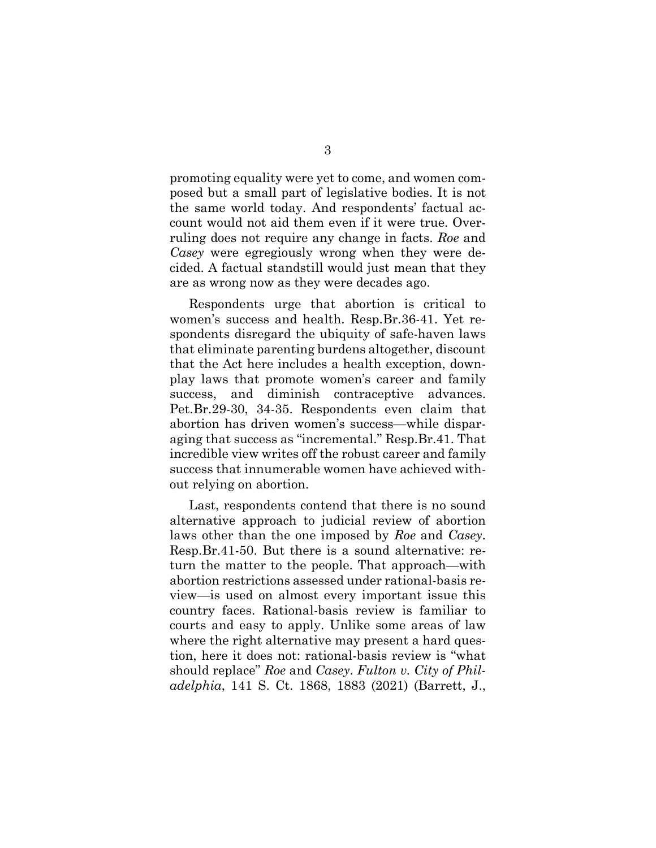promoting equality were yet to come, and women composed but a small part of legislative bodies. It is not the same world today. And respondents' factual account would not aid them even if it were true. Overruling does not require any change in facts. *Roe* and *Casey* were egregiously wrong when they were decided. A factual standstill would just mean that they are as wrong now as they were decades ago.

Respondents urge that abortion is critical to women's success and health. Resp.Br.36-41. Yet respondents disregard the ubiquity of safe-haven laws that eliminate parenting burdens altogether, discount that the Act here includes a health exception, downplay laws that promote women's career and family success, and diminish contraceptive advances. Pet.Br.29-30, 34-35. Respondents even claim that abortion has driven women's success—while disparaging that success as "incremental." Resp.Br.41. That incredible view writes off the robust career and family success that innumerable women have achieved without relying on abortion.

Last, respondents contend that there is no sound alternative approach to judicial review of abortion laws other than the one imposed by *Roe* and *Casey*. Resp.Br.41-50. But there is a sound alternative: return the matter to the people. That approach—with abortion restrictions assessed under rational-basis review—is used on almost every important issue this country faces. Rational-basis review is familiar to courts and easy to apply. Unlike some areas of law where the right alternative may present a hard question, here it does not: rational-basis review is "what should replace" *Roe* and *Casey*. *Fulton v. City of Philadelphia*, 141 S. Ct. 1868, 1883 (2021) (Barrett, J.,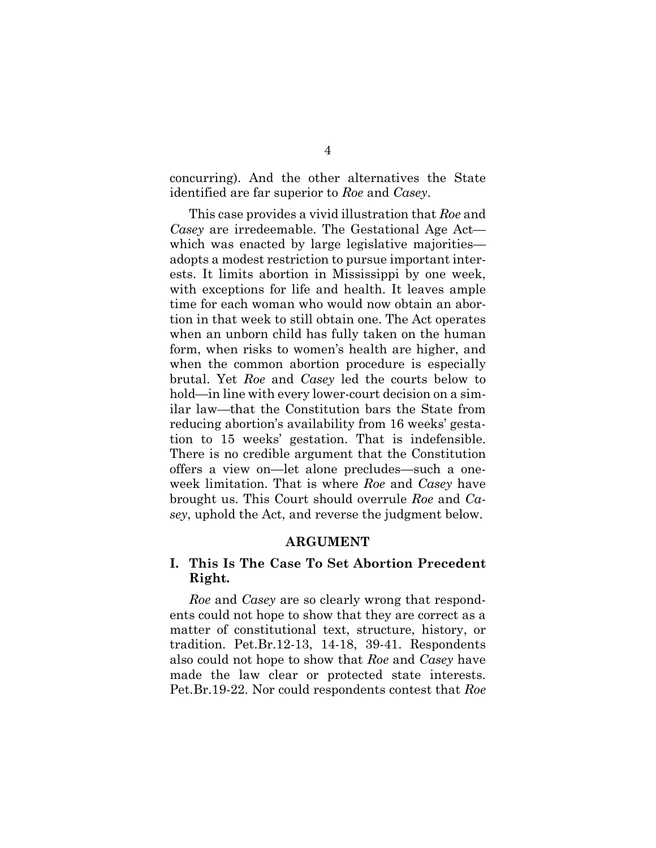concurring). And the other alternatives the State identified are far superior to *Roe* and *Casey*.

This case provides a vivid illustration that *Roe* and *Casey* are irredeemable. The Gestational Age Act which was enacted by large legislative majorities adopts a modest restriction to pursue important interests. It limits abortion in Mississippi by one week, with exceptions for life and health. It leaves ample time for each woman who would now obtain an abortion in that week to still obtain one. The Act operates when an unborn child has fully taken on the human form, when risks to women's health are higher, and when the common abortion procedure is especially brutal. Yet *Roe* and *Casey* led the courts below to hold—in line with every lower-court decision on a similar law—that the Constitution bars the State from reducing abortion's availability from 16 weeks' gestation to 15 weeks' gestation. That is indefensible. There is no credible argument that the Constitution offers a view on—let alone precludes—such a oneweek limitation. That is where *Roe* and *Casey* have brought us. This Court should overrule *Roe* and *Casey*, uphold the Act, and reverse the judgment below.

### **ARGUMENT**

## **I. This Is The Case To Set Abortion Precedent Right.**

*Roe* and *Casey* are so clearly wrong that respondents could not hope to show that they are correct as a matter of constitutional text, structure, history, or tradition. Pet.Br.12-13, 14-18, 39-41. Respondents also could not hope to show that *Roe* and *Casey* have made the law clear or protected state interests. Pet.Br.19-22. Nor could respondents contest that *Roe*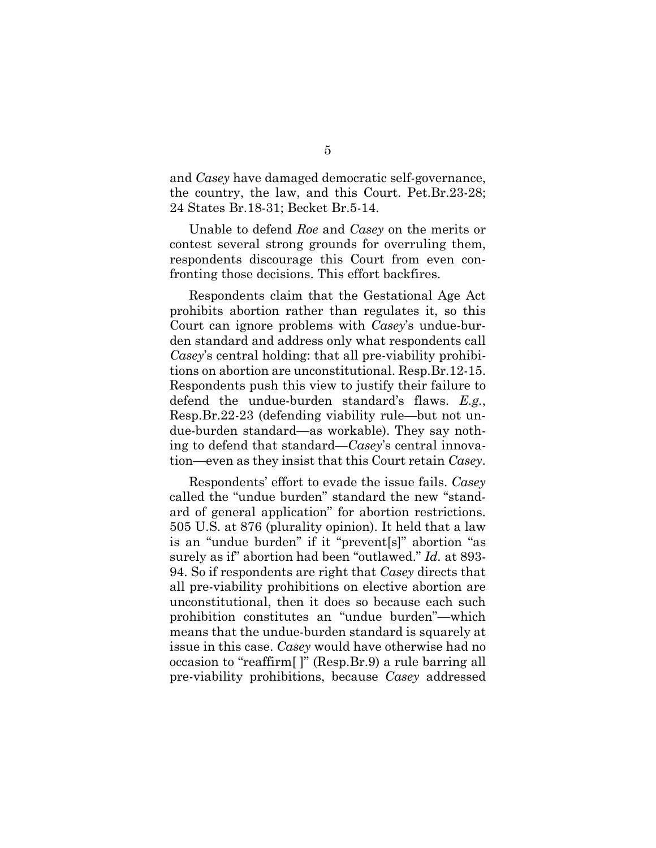and *Casey* have damaged democratic self-governance, the country, the law, and this Court. Pet.Br.23-28; 24 States Br.18-31; Becket Br.5-14.

Unable to defend *Roe* and *Casey* on the merits or contest several strong grounds for overruling them, respondents discourage this Court from even confronting those decisions. This effort backfires.

Respondents claim that the Gestational Age Act prohibits abortion rather than regulates it, so this Court can ignore problems with *Casey*'s undue-burden standard and address only what respondents call *Casey*'s central holding: that all pre-viability prohibitions on abortion are unconstitutional. Resp.Br.12-15. Respondents push this view to justify their failure to defend the undue-burden standard's flaws. *E.g.*, Resp.Br.22-23 (defending viability rule—but not undue-burden standard—as workable). They say nothing to defend that standard—*Casey*'s central innovation—even as they insist that this Court retain *Casey*.

Respondents' effort to evade the issue fails. *Casey* called the "undue burden" standard the new "standard of general application" for abortion restrictions. 505 U.S. at 876 (plurality opinion). It held that a law is an "undue burden" if it "prevent[s]" abortion "as surely as if" abortion had been "outlawed." *Id.* at 893- 94. So if respondents are right that *Casey* directs that all pre-viability prohibitions on elective abortion are unconstitutional, then it does so because each such prohibition constitutes an "undue burden"—which means that the undue-burden standard is squarely at issue in this case. *Casey* would have otherwise had no occasion to "reaffirm[ ]" (Resp.Br.9) a rule barring all pre-viability prohibitions, because *Casey* addressed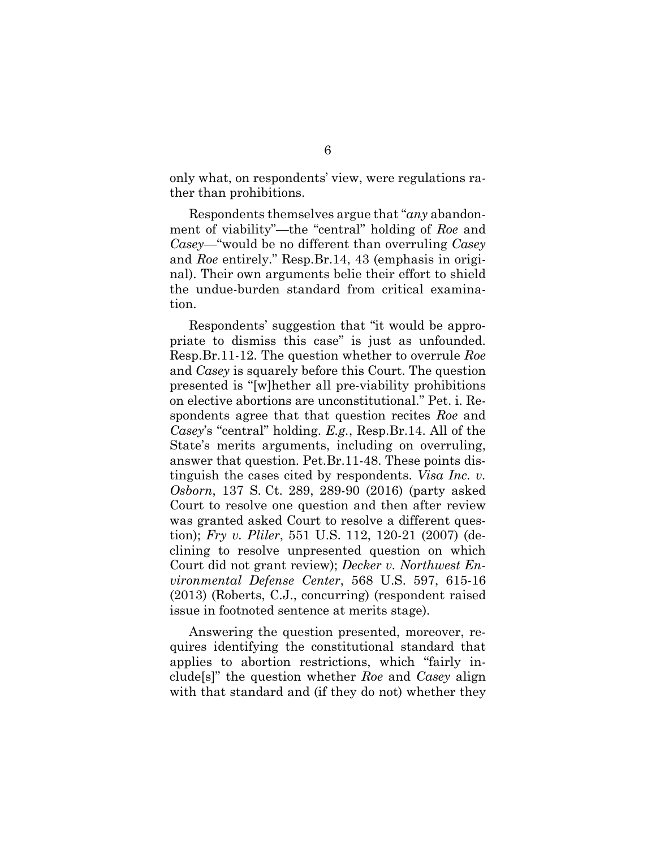only what, on respondents' view, were regulations rather than prohibitions.

Respondents themselves argue that "*any* abandonment of viability"—the "central" holding of *Roe* and *Casey*—"would be no different than overruling *Casey* and *Roe* entirely." Resp.Br.14, 43 (emphasis in original). Their own arguments belie their effort to shield the undue-burden standard from critical examination.

Respondents' suggestion that "it would be appropriate to dismiss this case" is just as unfounded. Resp.Br.11-12. The question whether to overrule *Roe* and *Casey* is squarely before this Court. The question presented is "[w]hether all pre-viability prohibitions on elective abortions are unconstitutional." Pet. i. Respondents agree that that question recites *Roe* and *Casey*'s "central" holding. *E.g.*, Resp.Br.14. All of the State's merits arguments, including on overruling, answer that question. Pet.Br.11-48. These points distinguish the cases cited by respondents. *Visa Inc. v. Osborn*, 137 S. Ct. 289, 289-90 (2016) (party asked Court to resolve one question and then after review was granted asked Court to resolve a different question); *Fry v. Pliler*, 551 U.S. 112, 120-21 (2007) (declining to resolve unpresented question on which Court did not grant review); *Decker v. Northwest Environmental Defense Center*, 568 U.S. 597, 615-16 (2013) (Roberts, C.J., concurring) (respondent raised issue in footnoted sentence at merits stage).

Answering the question presented, moreover, requires identifying the constitutional standard that applies to abortion restrictions, which "fairly include[s]" the question whether *Roe* and *Casey* align with that standard and (if they do not) whether they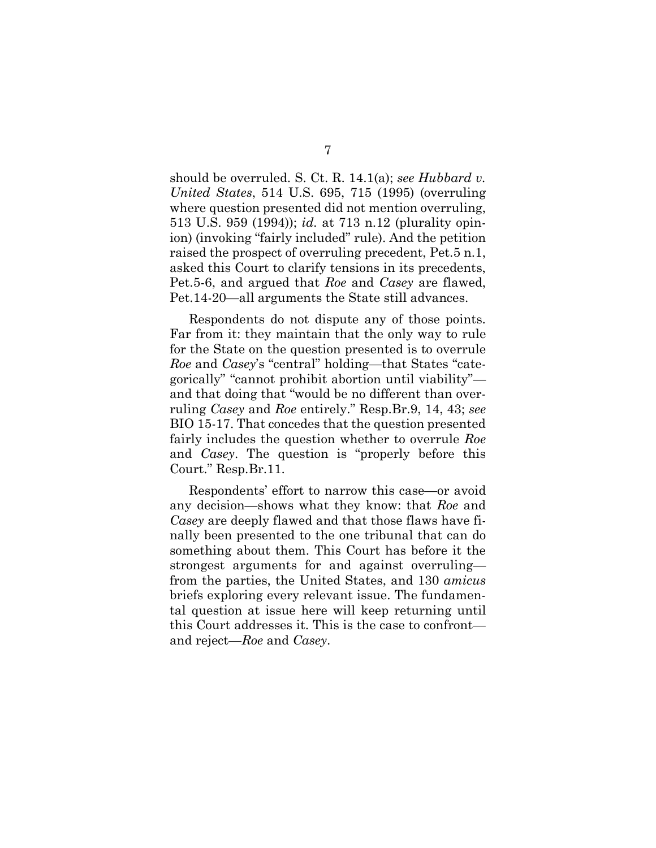should be overruled. S. Ct. R. 14.1(a); *see Hubbard v. United States*, 514 U.S. 695, 715 (1995) (overruling where question presented did not mention overruling, 513 U.S. 959 (1994)); *id.* at 713 n.12 (plurality opinion) (invoking "fairly included" rule). And the petition raised the prospect of overruling precedent, Pet.5 n.1, asked this Court to clarify tensions in its precedents, Pet.5-6, and argued that *Roe* and *Casey* are flawed, Pet.14-20—all arguments the State still advances.

Respondents do not dispute any of those points. Far from it: they maintain that the only way to rule for the State on the question presented is to overrule *Roe* and *Casey*'s "central" holding—that States "categorically" "cannot prohibit abortion until viability" and that doing that "would be no different than overruling *Casey* and *Roe* entirely." Resp.Br.9, 14, 43; *see*  BIO 15-17. That concedes that the question presented fairly includes the question whether to overrule *Roe* and *Casey*. The question is "properly before this Court." Resp.Br.11.

Respondents' effort to narrow this case—or avoid any decision—shows what they know: that *Roe* and *Casey* are deeply flawed and that those flaws have finally been presented to the one tribunal that can do something about them. This Court has before it the strongest arguments for and against overruling from the parties, the United States, and 130 *amicus* briefs exploring every relevant issue. The fundamental question at issue here will keep returning until this Court addresses it. This is the case to confront and reject—*Roe* and *Casey*.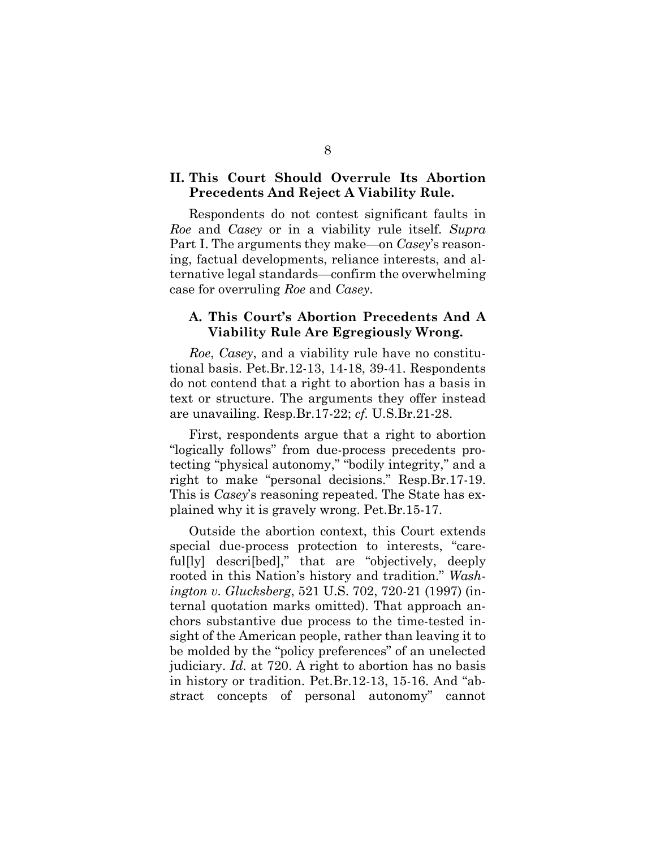## **II. This Court Should Overrule Its Abortion Precedents And Reject A Viability Rule.**

Respondents do not contest significant faults in *Roe* and *Casey* or in a viability rule itself. *Supra* Part I. The arguments they make—on *Casey*'s reasoning, factual developments, reliance interests, and alternative legal standards—confirm the overwhelming case for overruling *Roe* and *Casey*.

### **A. This Court's Abortion Precedents And A Viability Rule Are Egregiously Wrong.**

*Roe*, *Casey*, and a viability rule have no constitutional basis. Pet.Br.12-13, 14-18, 39-41. Respondents do not contend that a right to abortion has a basis in text or structure. The arguments they offer instead are unavailing. Resp.Br.17-22; *cf.* U.S.Br.21-28.

First, respondents argue that a right to abortion "logically follows" from due-process precedents protecting "physical autonomy," "bodily integrity," and a right to make "personal decisions." Resp.Br.17-19. This is *Casey*'s reasoning repeated. The State has explained why it is gravely wrong. Pet.Br.15-17.

Outside the abortion context, this Court extends special due-process protection to interests, "careful[ly] descri[bed]," that are "objectively, deeply rooted in this Nation's history and tradition." *Washington v. Glucksberg*, 521 U.S. 702, 720-21 (1997) (internal quotation marks omitted). That approach anchors substantive due process to the time-tested insight of the American people, rather than leaving it to be molded by the "policy preferences" of an unelected judiciary. *Id.* at 720. A right to abortion has no basis in history or tradition. Pet.Br.12-13, 15-16. And "abstract concepts of personal autonomy" cannot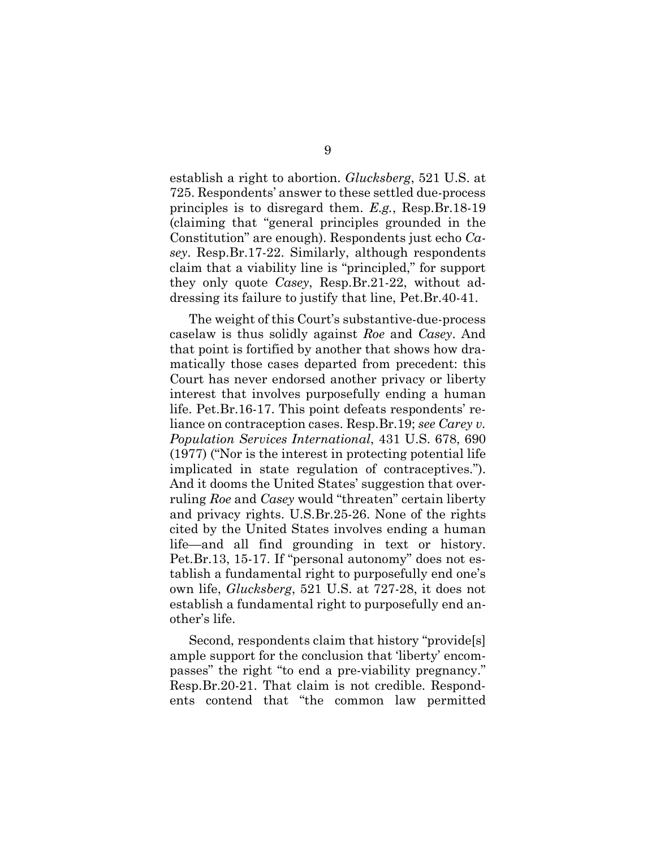establish a right to abortion. *Glucksberg*, 521 U.S. at 725. Respondents' answer to these settled due-process principles is to disregard them. *E.g.*, Resp.Br.18-19 (claiming that "general principles grounded in the Constitution" are enough). Respondents just echo *Casey*. Resp.Br.17-22. Similarly, although respondents claim that a viability line is "principled," for support they only quote *Casey*, Resp.Br.21-22, without addressing its failure to justify that line, Pet.Br.40-41.

The weight of this Court's substantive-due-process caselaw is thus solidly against *Roe* and *Casey*. And that point is fortified by another that shows how dramatically those cases departed from precedent: this Court has never endorsed another privacy or liberty interest that involves purposefully ending a human life. Pet.Br.16-17. This point defeats respondents' reliance on contraception cases. Resp.Br.19; *see Carey v. Population Services International*, 431 U.S. 678, 690 (1977) ("Nor is the interest in protecting potential life implicated in state regulation of contraceptives."). And it dooms the United States' suggestion that overruling *Roe* and *Casey* would "threaten" certain liberty and privacy rights. U.S.Br.25-26. None of the rights cited by the United States involves ending a human life—and all find grounding in text or history. Pet.Br.13, 15-17. If "personal autonomy" does not establish a fundamental right to purposefully end one's own life, *Glucksberg*, 521 U.S. at 727-28, it does not establish a fundamental right to purposefully end another's life.

Second, respondents claim that history "provide[s] ample support for the conclusion that 'liberty' encompasses" the right "to end a pre-viability pregnancy." Resp.Br.20-21. That claim is not credible. Respondents contend that "the common law permitted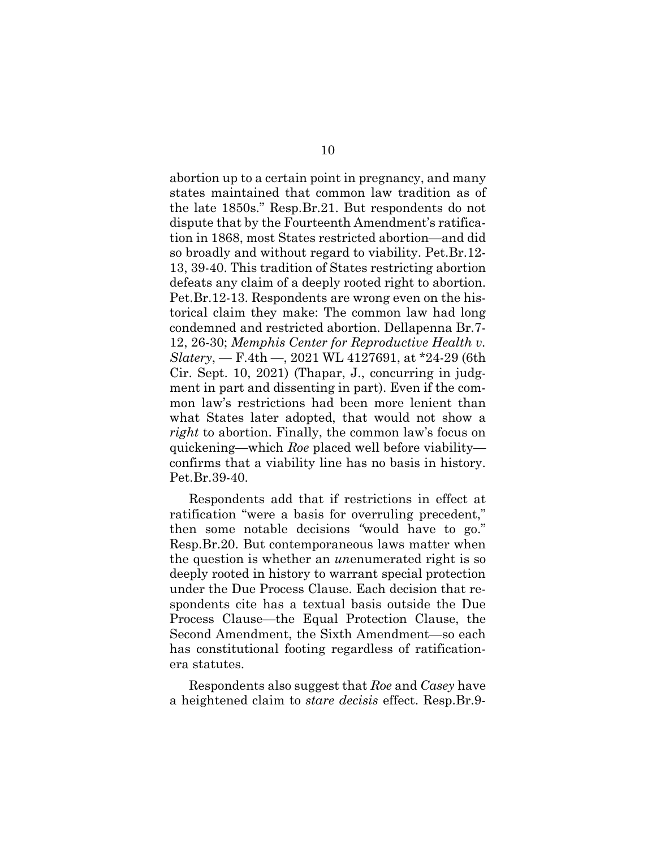abortion up to a certain point in pregnancy, and many states maintained that common law tradition as of the late 1850s." Resp.Br.21. But respondents do not dispute that by the Fourteenth Amendment's ratification in 1868, most States restricted abortion—and did so broadly and without regard to viability. Pet.Br.12- 13, 39-40. This tradition of States restricting abortion defeats any claim of a deeply rooted right to abortion. Pet.Br.12-13. Respondents are wrong even on the historical claim they make: The common law had long condemned and restricted abortion. Dellapenna Br.7- 12, 26-30; *Memphis Center for Reproductive Health v. Slatery*, — F.4th —, 2021 WL 4127691, at \*24-29 (6th Cir. Sept. 10, 2021) (Thapar, J., concurring in judgment in part and dissenting in part). Even if the common law's restrictions had been more lenient than what States later adopted, that would not show a *right* to abortion. Finally, the common law's focus on quickening—which *Roe* placed well before viability confirms that a viability line has no basis in history. Pet.Br.39-40.

Respondents add that if restrictions in effect at ratification "were a basis for overruling precedent," then some notable decisions *"*would have to go." Resp.Br.20. But contemporaneous laws matter when the question is whether an *un*enumerated right is so deeply rooted in history to warrant special protection under the Due Process Clause. Each decision that respondents cite has a textual basis outside the Due Process Clause—the Equal Protection Clause, the Second Amendment, the Sixth Amendment—so each has constitutional footing regardless of ratificationera statutes.

Respondents also suggest that *Roe* and *Casey* have a heightened claim to *stare decisis* effect. Resp.Br.9-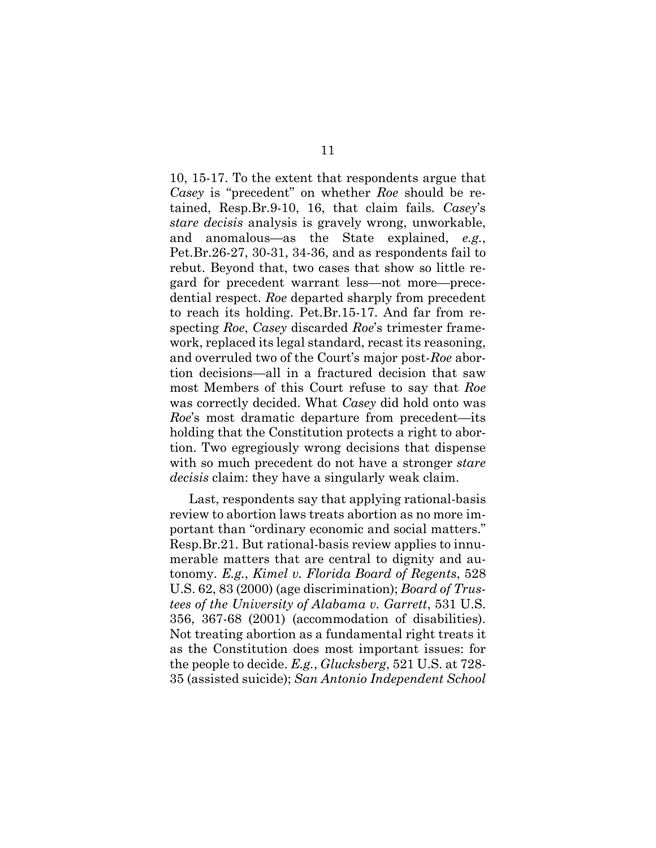10, 15-17. To the extent that respondents argue that *Casey* is "precedent" on whether *Roe* should be retained, Resp.Br.9-10, 16, that claim fails. *Casey*'s *stare decisis* analysis is gravely wrong, unworkable, and anomalous—as the State explained, *e.g.*, Pet.Br.26-27, 30-31, 34-36, and as respondents fail to rebut. Beyond that, two cases that show so little regard for precedent warrant less—not more—precedential respect. *Roe* departed sharply from precedent to reach its holding. Pet.Br.15-17. And far from respecting *Roe*, *Casey* discarded *Roe*'s trimester framework, replaced its legal standard, recast its reasoning, and overruled two of the Court's major post-*Roe* abortion decisions—all in a fractured decision that saw most Members of this Court refuse to say that *Roe* was correctly decided. What *Casey* did hold onto was *Roe*'s most dramatic departure from precedent—its holding that the Constitution protects a right to abortion. Two egregiously wrong decisions that dispense with so much precedent do not have a stronger *stare decisis* claim: they have a singularly weak claim.

Last, respondents say that applying rational-basis review to abortion laws treats abortion as no more important than "ordinary economic and social matters." Resp.Br.21. But rational-basis review applies to innumerable matters that are central to dignity and autonomy. *E.g.*, *Kimel v. Florida Board of Regents*, 528 U.S. 62, 83 (2000) (age discrimination); *Board of Trustees of the University of Alabama v. Garrett*, 531 U.S. 356, 367-68 (2001) (accommodation of disabilities). Not treating abortion as a fundamental right treats it as the Constitution does most important issues: for the people to decide. *E.g.*, *Glucksberg*, 521 U.S. at 728- 35 (assisted suicide); *San Antonio Independent School*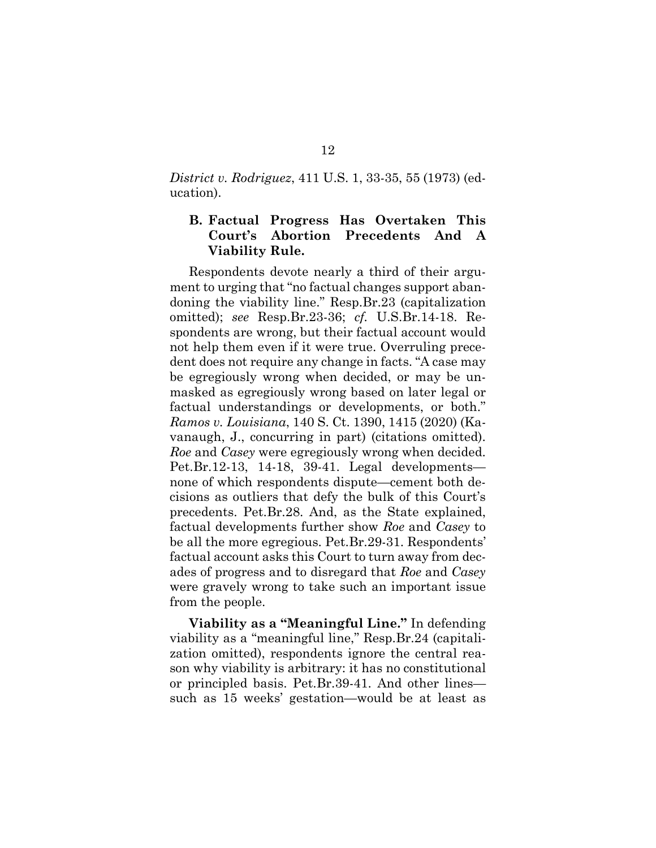*District v. Rodriguez*, 411 U.S. 1, 33-35, 55 (1973) (education).

## **B. Factual Progress Has Overtaken This Court's Abortion Precedents And A Viability Rule.**

Respondents devote nearly a third of their argument to urging that "no factual changes support abandoning the viability line." Resp.Br.23 (capitalization omitted); *see* Resp.Br.23-36; *cf.* U.S.Br.14-18. Respondents are wrong, but their factual account would not help them even if it were true. Overruling precedent does not require any change in facts. "A case may be egregiously wrong when decided, or may be unmasked as egregiously wrong based on later legal or factual understandings or developments, or both." *Ramos v. Louisiana*, 140 S. Ct. 1390, 1415 (2020) (Kavanaugh, J., concurring in part) (citations omitted). *Roe* and *Casey* were egregiously wrong when decided. Pet.Br.12-13, 14-18, 39-41. Legal developments none of which respondents dispute—cement both decisions as outliers that defy the bulk of this Court's precedents. Pet.Br.28. And, as the State explained, factual developments further show *Roe* and *Casey* to be all the more egregious. Pet.Br.29-31. Respondents' factual account asks this Court to turn away from decades of progress and to disregard that *Roe* and *Casey*  were gravely wrong to take such an important issue from the people.

**Viability as a "Meaningful Line."** In defending viability as a "meaningful line," Resp.Br.24 (capitalization omitted), respondents ignore the central reason why viability is arbitrary: it has no constitutional or principled basis. Pet.Br.39-41. And other lines such as 15 weeks' gestation—would be at least as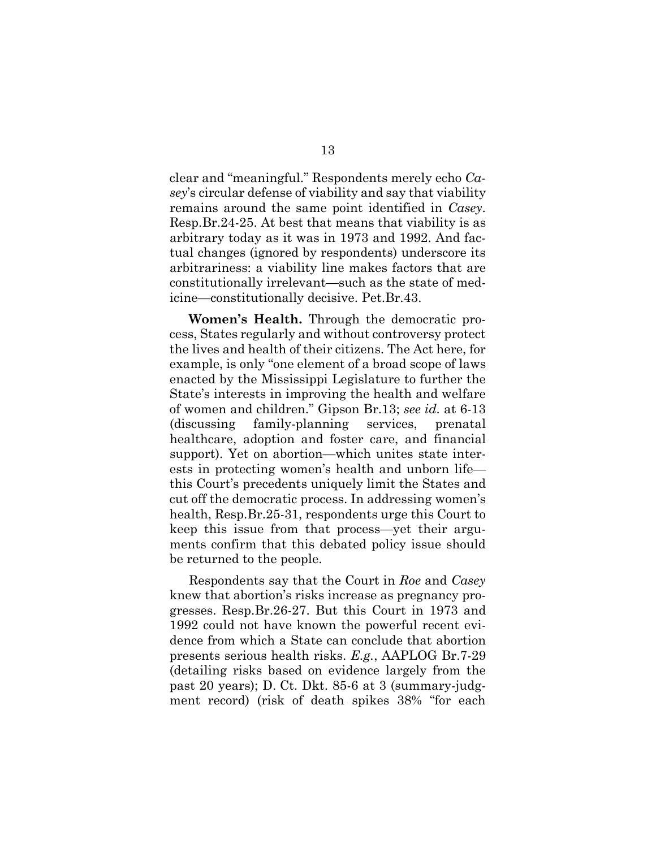clear and "meaningful." Respondents merely echo *Casey*'s circular defense of viability and say that viability remains around the same point identified in *Casey*. Resp.Br.24-25. At best that means that viability is as arbitrary today as it was in 1973 and 1992. And factual changes (ignored by respondents) underscore its arbitrariness: a viability line makes factors that are constitutionally irrelevant—such as the state of medicine—constitutionally decisive. Pet.Br.43.

**Women's Health.** Through the democratic process, States regularly and without controversy protect the lives and health of their citizens. The Act here, for example, is only "one element of a broad scope of laws enacted by the Mississippi Legislature to further the State's interests in improving the health and welfare of women and children." Gipson Br.13; *see id.* at 6-13 (discussing family-planning services, prenatal healthcare, adoption and foster care, and financial support). Yet on abortion—which unites state interests in protecting women's health and unborn life this Court's precedents uniquely limit the States and cut off the democratic process. In addressing women's health, Resp.Br.25-31, respondents urge this Court to keep this issue from that process—yet their arguments confirm that this debated policy issue should be returned to the people.

Respondents say that the Court in *Roe* and *Casey* knew that abortion's risks increase as pregnancy progresses. Resp.Br.26-27. But this Court in 1973 and 1992 could not have known the powerful recent evidence from which a State can conclude that abortion presents serious health risks. *E.g.*, AAPLOG Br.7-29 (detailing risks based on evidence largely from the past 20 years); D. Ct. Dkt. 85-6 at 3 (summary-judgment record) (risk of death spikes 38% "for each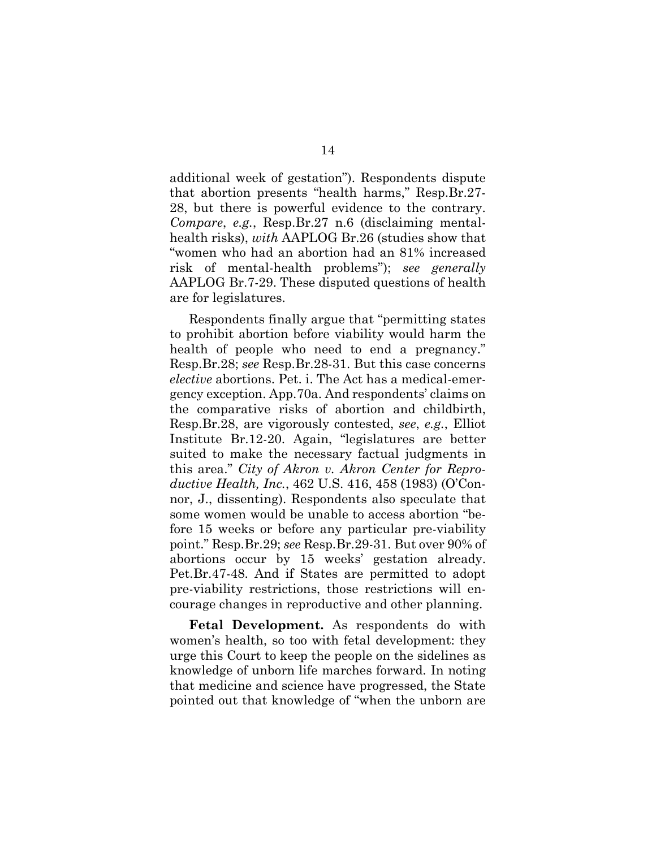additional week of gestation"). Respondents dispute that abortion presents "health harms," Resp.Br.27- 28, but there is powerful evidence to the contrary. *Compare*, *e.g.*, Resp.Br.27 n.6 (disclaiming mentalhealth risks), *with* AAPLOG Br.26 (studies show that "women who had an abortion had an 81% increased risk of mental-health problems"); *see generally* AAPLOG Br.7-29. These disputed questions of health are for legislatures.

Respondents finally argue that "permitting states to prohibit abortion before viability would harm the health of people who need to end a pregnancy." Resp.Br.28; *see* Resp.Br.28-31. But this case concerns *elective* abortions. Pet. i. The Act has a medical-emergency exception. App.70a. And respondents' claims on the comparative risks of abortion and childbirth, Resp.Br.28, are vigorously contested, *see*, *e.g.*, Elliot Institute Br.12-20. Again, "legislatures are better suited to make the necessary factual judgments in this area." *City of Akron v. Akron Center for Reproductive Health, Inc.*, 462 U.S. 416, 458 (1983) (O'Connor, J., dissenting). Respondents also speculate that some women would be unable to access abortion "before 15 weeks or before any particular pre-viability point." Resp.Br.29; *see* Resp.Br.29-31. But over 90% of abortions occur by 15 weeks' gestation already. Pet.Br.47-48. And if States are permitted to adopt pre-viability restrictions, those restrictions will encourage changes in reproductive and other planning.

**Fetal Development.** As respondents do with women's health, so too with fetal development: they urge this Court to keep the people on the sidelines as knowledge of unborn life marches forward. In noting that medicine and science have progressed, the State pointed out that knowledge of "when the unborn are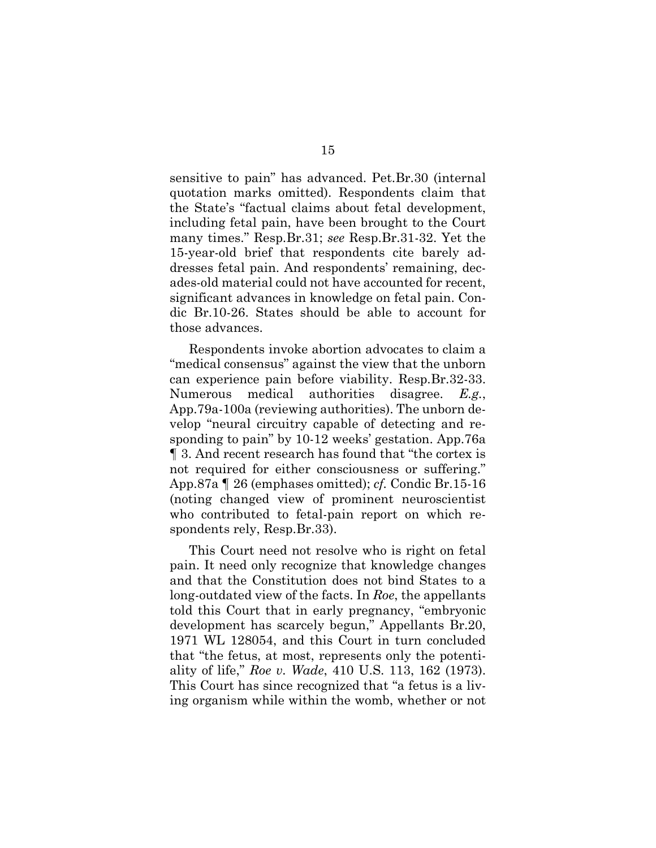sensitive to pain" has advanced. Pet.Br.30 (internal quotation marks omitted). Respondents claim that the State's "factual claims about fetal development, including fetal pain, have been brought to the Court many times." Resp.Br.31; *see* Resp.Br.31-32. Yet the 15-year-old brief that respondents cite barely addresses fetal pain. And respondents' remaining, decades-old material could not have accounted for recent, significant advances in knowledge on fetal pain. Condic Br.10-26. States should be able to account for those advances.

Respondents invoke abortion advocates to claim a "medical consensus" against the view that the unborn can experience pain before viability. Resp.Br.32-33. Numerous medical authorities disagree. *E.g.*, App.79a-100a (reviewing authorities). The unborn develop "neural circuitry capable of detecting and responding to pain" by 10-12 weeks' gestation. App.76a ¶ 3. And recent research has found that "the cortex is not required for either consciousness or suffering." App.87a ¶ 26 (emphases omitted); *cf.* Condic Br.15-16 (noting changed view of prominent neuroscientist who contributed to fetal-pain report on which respondents rely, Resp.Br.33).

This Court need not resolve who is right on fetal pain. It need only recognize that knowledge changes and that the Constitution does not bind States to a long-outdated view of the facts. In *Roe*, the appellants told this Court that in early pregnancy, "embryonic development has scarcely begun," Appellants Br.20, 1971 WL 128054, and this Court in turn concluded that "the fetus, at most, represents only the potentiality of life," *Roe v. Wade*, 410 U.S. 113, 162 (1973). This Court has since recognized that "a fetus is a living organism while within the womb, whether or not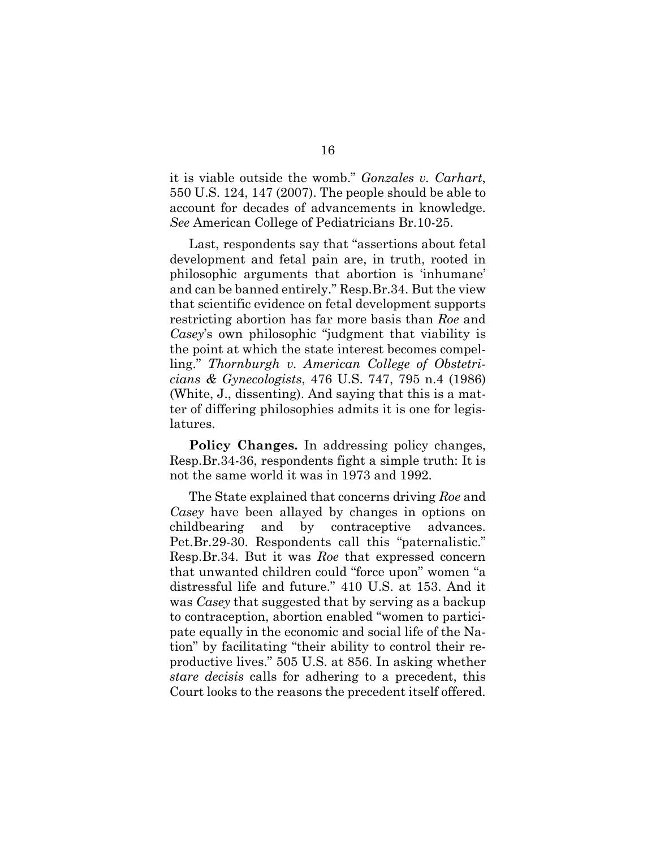it is viable outside the womb." *Gonzales v. Carhart*, 550 U.S. 124, 147 (2007). The people should be able to account for decades of advancements in knowledge. *See* American College of Pediatricians Br.10-25.

Last, respondents say that "assertions about fetal development and fetal pain are, in truth, rooted in philosophic arguments that abortion is 'inhumane' and can be banned entirely." Resp.Br.34. But the view that scientific evidence on fetal development supports restricting abortion has far more basis than *Roe* and *Casey*'s own philosophic "judgment that viability is the point at which the state interest becomes compelling." *Thornburgh v. American College of Obstetricians & Gynecologists*, 476 U.S. 747, 795 n.4 (1986) (White, J., dissenting). And saying that this is a matter of differing philosophies admits it is one for legislatures.

**Policy Changes.** In addressing policy changes, Resp.Br.34-36, respondents fight a simple truth: It is not the same world it was in 1973 and 1992.

The State explained that concerns driving *Roe* and *Casey* have been allayed by changes in options on childbearing and by contraceptive advances. Pet.Br.29-30. Respondents call this "paternalistic." Resp.Br.34. But it was *Roe* that expressed concern that unwanted children could "force upon" women "a distressful life and future." 410 U.S. at 153. And it was *Casey* that suggested that by serving as a backup to contraception, abortion enabled "women to participate equally in the economic and social life of the Nation" by facilitating "their ability to control their reproductive lives." 505 U.S. at 856. In asking whether *stare decisis* calls for adhering to a precedent, this Court looks to the reasons the precedent itself offered.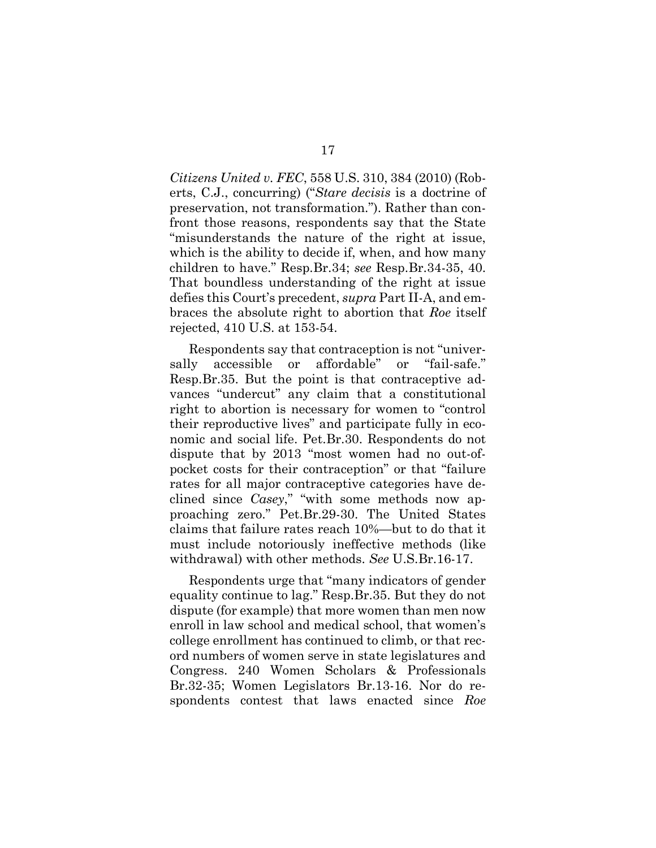*Citizens United v. FEC*, 558 U.S. 310, 384 (2010) (Roberts, C.J., concurring) ("*Stare decisis* is a doctrine of preservation, not transformation."). Rather than confront those reasons, respondents say that the State "misunderstands the nature of the right at issue, which is the ability to decide if, when, and how many children to have." Resp.Br.34; *see* Resp.Br.34-35, 40. That boundless understanding of the right at issue defies this Court's precedent, *supra* Part II-A, and embraces the absolute right to abortion that *Roe* itself rejected, 410 U.S. at 153-54.

Respondents say that contraception is not "universally accessible or affordable" or "fail-safe." Resp.Br.35. But the point is that contraceptive advances "undercut" any claim that a constitutional right to abortion is necessary for women to "control their reproductive lives" and participate fully in economic and social life. Pet.Br.30. Respondents do not dispute that by 2013 "most women had no out-ofpocket costs for their contraception" or that "failure rates for all major contraceptive categories have declined since *Casey*," "with some methods now approaching zero." Pet.Br.29-30. The United States claims that failure rates reach 10%—but to do that it must include notoriously ineffective methods (like withdrawal) with other methods. *See* U.S.Br.16-17.

Respondents urge that "many indicators of gender equality continue to lag." Resp.Br.35. But they do not dispute (for example) that more women than men now enroll in law school and medical school, that women's college enrollment has continued to climb, or that record numbers of women serve in state legislatures and Congress. 240 Women Scholars & Professionals Br.32-35; Women Legislators Br.13-16. Nor do respondents contest that laws enacted since *Roe*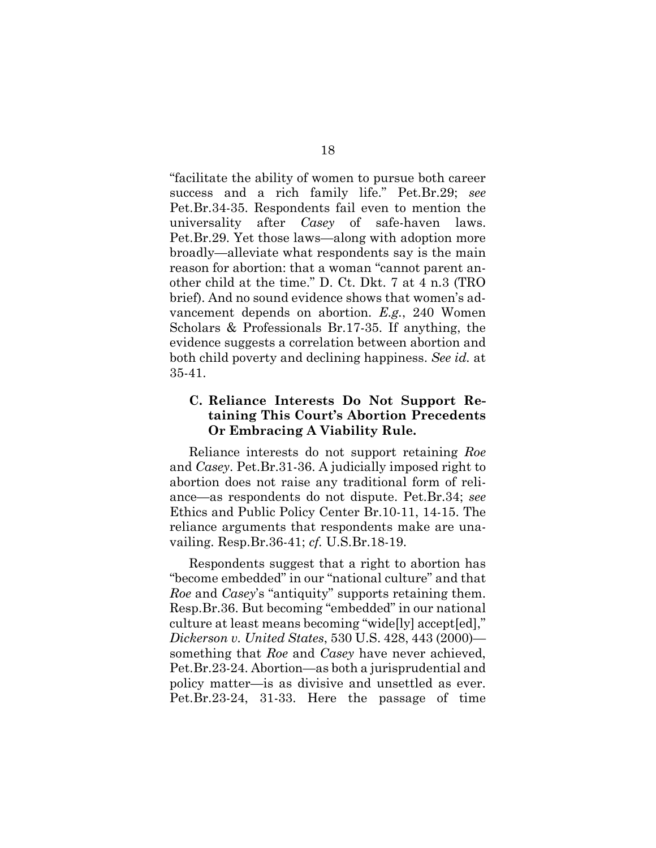"facilitate the ability of women to pursue both career success and a rich family life." Pet.Br.29; *see*  Pet.Br.34-35. Respondents fail even to mention the universality after *Casey* of safe-haven laws. Pet.Br.29. Yet those laws—along with adoption more broadly—alleviate what respondents say is the main reason for abortion: that a woman "cannot parent another child at the time." D. Ct. Dkt. 7 at 4 n.3 (TRO brief). And no sound evidence shows that women's advancement depends on abortion. *E.g.*, 240 Women Scholars & Professionals Br.17-35. If anything, the evidence suggests a correlation between abortion and both child poverty and declining happiness. *See id.* at 35-41.

## **C. Reliance Interests Do Not Support Retaining This Court's Abortion Precedents Or Embracing A Viability Rule.**

Reliance interests do not support retaining *Roe* and *Casey*. Pet.Br.31-36. A judicially imposed right to abortion does not raise any traditional form of reliance—as respondents do not dispute. Pet.Br.34; *see*  Ethics and Public Policy Center Br.10-11, 14-15. The reliance arguments that respondents make are unavailing. Resp.Br.36-41; *cf.* U.S.Br.18-19.

Respondents suggest that a right to abortion has "become embedded" in our "national culture" and that *Roe* and *Casey*'s "antiquity" supports retaining them. Resp.Br.36. But becoming "embedded" in our national culture at least means becoming "wide[ly] accept[ed]," *Dickerson v. United States*, 530 U.S. 428, 443 (2000) something that *Roe* and *Casey* have never achieved, Pet.Br.23-24. Abortion—as both a jurisprudential and policy matter—is as divisive and unsettled as ever. Pet.Br.23-24, 31-33. Here the passage of time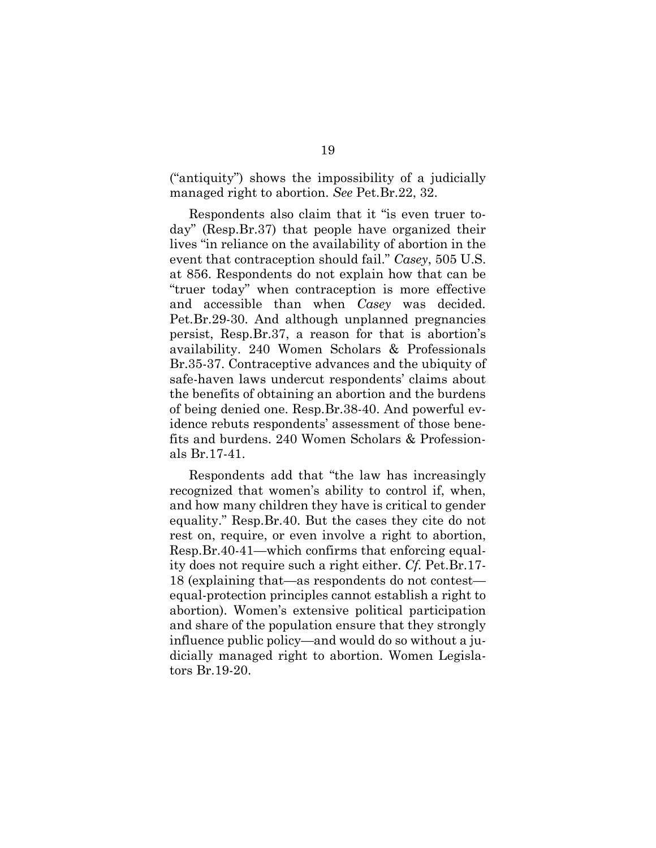("antiquity") shows the impossibility of a judicially managed right to abortion. *See* Pet.Br.22, 32.

Respondents also claim that it "is even truer today" (Resp.Br.37) that people have organized their lives "in reliance on the availability of abortion in the event that contraception should fail." *Casey*, 505 U.S. at 856. Respondents do not explain how that can be "truer today" when contraception is more effective and accessible than when *Casey* was decided. Pet.Br.29-30. And although unplanned pregnancies persist, Resp.Br.37, a reason for that is abortion's availability. 240 Women Scholars & Professionals Br.35-37. Contraceptive advances and the ubiquity of safe-haven laws undercut respondents' claims about the benefits of obtaining an abortion and the burdens of being denied one. Resp.Br.38-40. And powerful evidence rebuts respondents' assessment of those benefits and burdens. 240 Women Scholars & Professionals Br.17-41.

Respondents add that "the law has increasingly recognized that women's ability to control if, when, and how many children they have is critical to gender equality." Resp.Br.40. But the cases they cite do not rest on, require, or even involve a right to abortion, Resp.Br.40-41—which confirms that enforcing equality does not require such a right either. *Cf.* Pet.Br.17- 18 (explaining that—as respondents do not contest equal-protection principles cannot establish a right to abortion). Women's extensive political participation and share of the population ensure that they strongly influence public policy—and would do so without a judicially managed right to abortion. Women Legislators Br.19-20.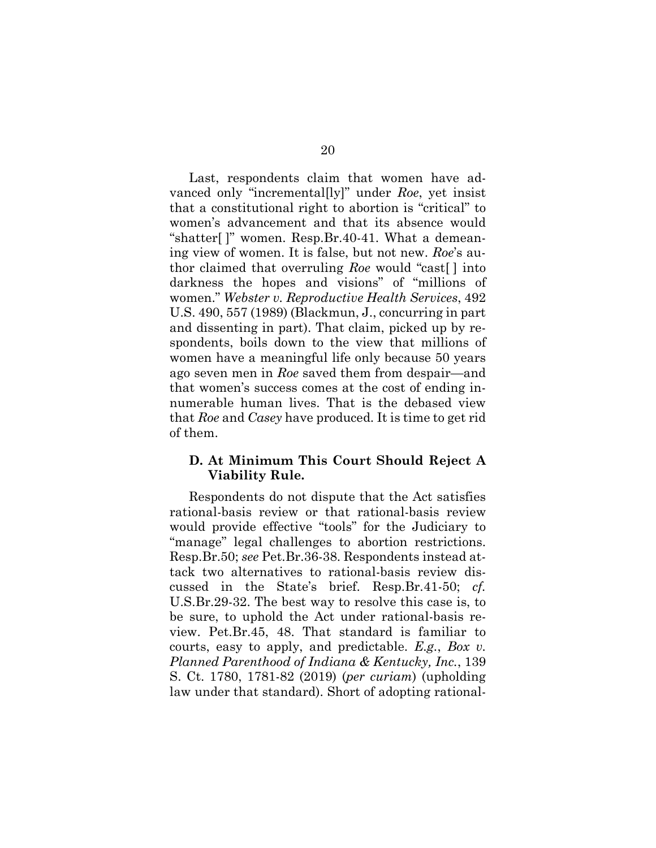Last, respondents claim that women have advanced only "incremental[ly]" under *Roe*, yet insist that a constitutional right to abortion is "critical" to women's advancement and that its absence would "shatter[ ]" women. Resp.Br.40-41. What a demeaning view of women. It is false, but not new. *Roe*'s author claimed that overruling *Roe* would "cast[ ] into darkness the hopes and visions" of "millions of women." *Webster v. Reproductive Health Services*, 492 U.S. 490, 557 (1989) (Blackmun, J., concurring in part and dissenting in part). That claim, picked up by respondents, boils down to the view that millions of women have a meaningful life only because 50 years ago seven men in *Roe* saved them from despair—and that women's success comes at the cost of ending innumerable human lives. That is the debased view that *Roe* and *Casey* have produced. It is time to get rid of them.

## **D. At Minimum This Court Should Reject A Viability Rule.**

Respondents do not dispute that the Act satisfies rational-basis review or that rational-basis review would provide effective "tools" for the Judiciary to "manage" legal challenges to abortion restrictions. Resp.Br.50; *see* Pet.Br.36-38. Respondents instead attack two alternatives to rational-basis review discussed in the State's brief. Resp.Br.41-50; *cf.* U.S.Br.29-32. The best way to resolve this case is, to be sure, to uphold the Act under rational-basis review. Pet.Br.45, 48. That standard is familiar to courts, easy to apply, and predictable. *E.g.*, *Box v. Planned Parenthood of Indiana & Kentucky, Inc.*, 139 S. Ct. 1780, 1781-82 (2019) (*per curiam*) (upholding law under that standard). Short of adopting rational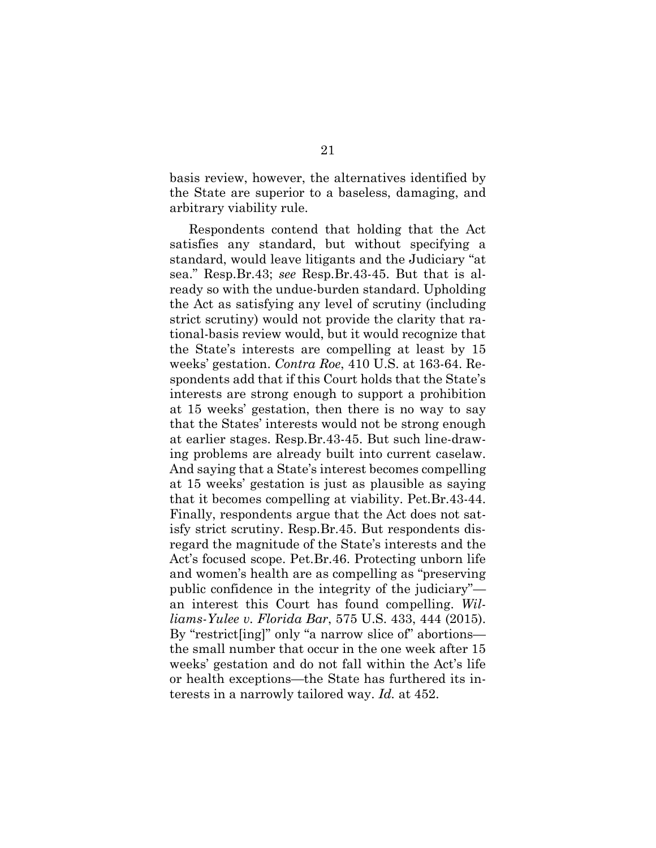basis review, however, the alternatives identified by the State are superior to a baseless, damaging, and arbitrary viability rule.

Respondents contend that holding that the Act satisfies any standard, but without specifying a standard, would leave litigants and the Judiciary "at sea." Resp.Br.43; *see* Resp.Br.43-45. But that is already so with the undue-burden standard. Upholding the Act as satisfying any level of scrutiny (including strict scrutiny) would not provide the clarity that rational-basis review would, but it would recognize that the State's interests are compelling at least by 15 weeks' gestation. *Contra Roe*, 410 U.S. at 163-64. Respondents add that if this Court holds that the State's interests are strong enough to support a prohibition at 15 weeks' gestation, then there is no way to say that the States' interests would not be strong enough at earlier stages. Resp.Br.43-45. But such line-drawing problems are already built into current caselaw. And saying that a State's interest becomes compelling at 15 weeks' gestation is just as plausible as saying that it becomes compelling at viability. Pet.Br.43-44. Finally, respondents argue that the Act does not satisfy strict scrutiny. Resp.Br.45. But respondents disregard the magnitude of the State's interests and the Act's focused scope. Pet.Br.46. Protecting unborn life and women's health are as compelling as "preserving public confidence in the integrity of the judiciary" an interest this Court has found compelling. *Williams-Yulee v. Florida Bar*, 575 U.S. 433, 444 (2015). By "restrict[ing]" only "a narrow slice of" abortions the small number that occur in the one week after 15 weeks' gestation and do not fall within the Act's life or health exceptions—the State has furthered its interests in a narrowly tailored way. *Id.* at 452.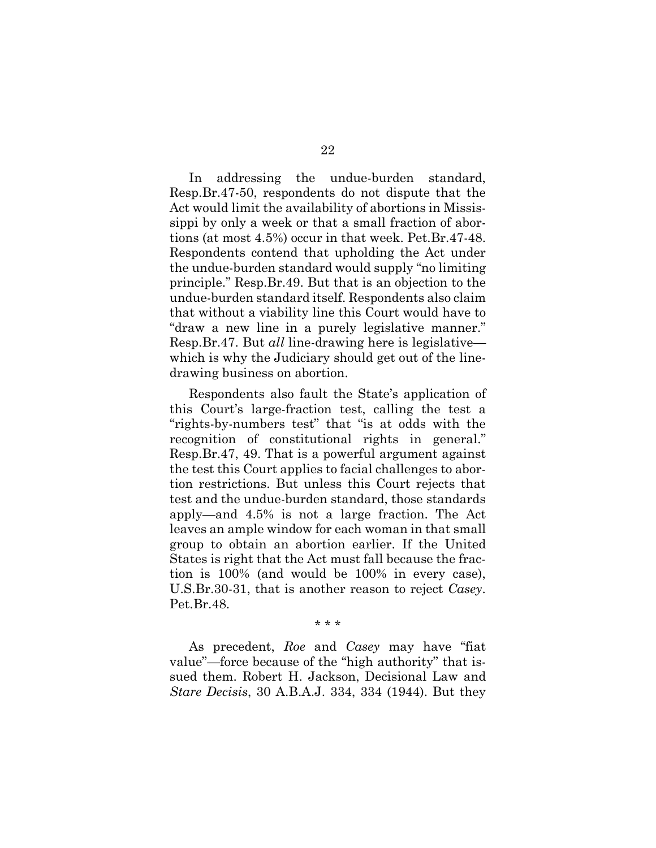In addressing the undue-burden standard, Resp.Br.47-50, respondents do not dispute that the Act would limit the availability of abortions in Mississippi by only a week or that a small fraction of abortions (at most 4.5%) occur in that week. Pet.Br.47-48. Respondents contend that upholding the Act under the undue-burden standard would supply "no limiting principle." Resp.Br.49. But that is an objection to the undue-burden standard itself. Respondents also claim that without a viability line this Court would have to "draw a new line in a purely legislative manner." Resp.Br.47. But *all* line-drawing here is legislative which is why the Judiciary should get out of the linedrawing business on abortion.

Respondents also fault the State's application of this Court's large-fraction test, calling the test a "rights-by-numbers test" that "is at odds with the recognition of constitutional rights in general." Resp.Br.47, 49. That is a powerful argument against the test this Court applies to facial challenges to abortion restrictions. But unless this Court rejects that test and the undue-burden standard, those standards apply—and 4.5% is not a large fraction. The Act leaves an ample window for each woman in that small group to obtain an abortion earlier. If the United States is right that the Act must fall because the fraction is 100% (and would be 100% in every case), U.S.Br.30-31, that is another reason to reject *Casey*. Pet.Br.48.

\* \* \*

As precedent, *Roe* and *Casey* may have "fiat value"—force because of the "high authority" that issued them. Robert H. Jackson, Decisional Law and *Stare Decisis*, 30 A.B.A.J. 334, 334 (1944). But they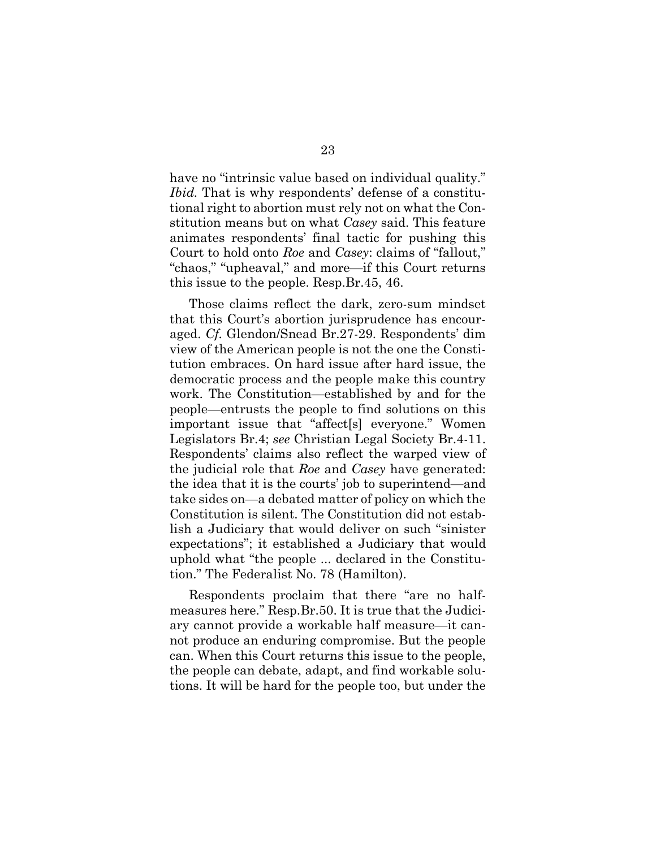have no "intrinsic value based on individual quality." *Ibid.* That is why respondents' defense of a constitutional right to abortion must rely not on what the Constitution means but on what *Casey* said. This feature animates respondents' final tactic for pushing this Court to hold onto *Roe* and *Casey*: claims of "fallout," "chaos," "upheaval," and more—if this Court returns this issue to the people. Resp.Br.45, 46.

Those claims reflect the dark, zero-sum mindset that this Court's abortion jurisprudence has encouraged. *Cf.* Glendon/Snead Br.27-29. Respondents' dim view of the American people is not the one the Constitution embraces. On hard issue after hard issue, the democratic process and the people make this country work. The Constitution—established by and for the people—entrusts the people to find solutions on this important issue that "affect[s] everyone." Women Legislators Br.4; *see* Christian Legal Society Br.4-11. Respondents' claims also reflect the warped view of the judicial role that *Roe* and *Casey* have generated: the idea that it is the courts' job to superintend—and take sides on—a debated matter of policy on which the Constitution is silent. The Constitution did not establish a Judiciary that would deliver on such "sinister expectations"; it established a Judiciary that would uphold what "the people ... declared in the Constitution." The Federalist No. 78 (Hamilton).

Respondents proclaim that there "are no halfmeasures here." Resp.Br.50. It is true that the Judiciary cannot provide a workable half measure—it cannot produce an enduring compromise. But the people can. When this Court returns this issue to the people, the people can debate, adapt, and find workable solutions. It will be hard for the people too, but under the